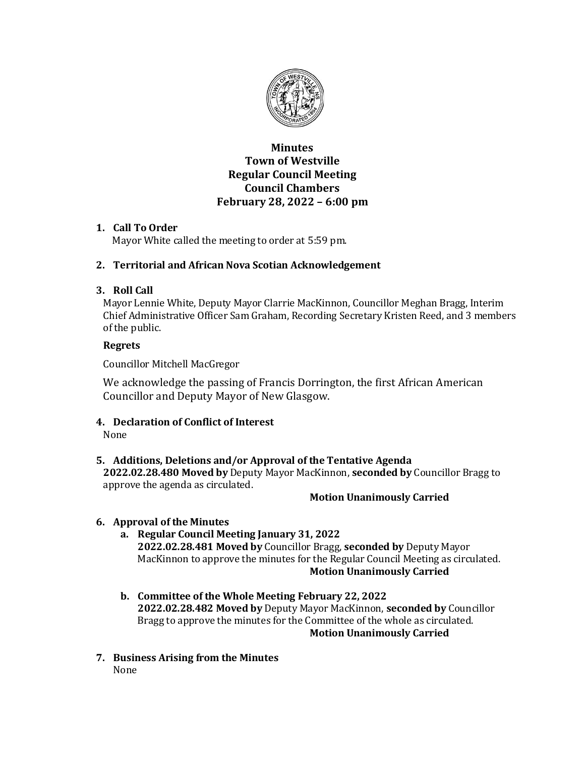

# **Minutes Town of Westville Regular Council Meeting Council Chambers February 28, 2022 – 6:00 pm**

# **1. Call To Order**

Mayor White called the meeting to order at 5:59 pm.

# **2. Territorial and African Nova Scotian Acknowledgement**

# **3. Roll Call**

Mayor Lennie White, Deputy Mayor Clarrie MacKinnon, Councillor Meghan Bragg, Interim Chief Administrative Officer Sam Graham, Recording Secretary Kristen Reed, and 3 members of the public.

# **Regrets**

Councillor Mitchell MacGregor

We acknowledge the passing of Francis Dorrington, the first African American Councillor and Deputy Mayor of New Glasgow.

# **4. Declaration of Conflict of Interest**

None

# **5. Additions, Deletions and/or Approval of the Tentative Agenda**

**2022.02.28.480 Moved by** Deputy Mayor MacKinnon, **seconded by** Councillor Bragg to approve the agenda as circulated.

# **Motion Unanimously Carried**

# **6. Approval of the Minutes**

- **a. Regular Council Meeting January 31, 2022 2022.02.28.481 Moved by** Councillor Bragg, **seconded by** Deputy Mayor MacKinnon to approve the minutes for the Regular Council Meeting as circulated. **Motion Unanimously Carried**
- **b. Committee of the Whole Meeting February 22, 2022 2022.02.28.482 Moved by** Deputy Mayor MacKinnon, **seconded by** Councillor Bragg to approve the minutes for the Committee of the whole as circulated. **Motion Unanimously Carried**
- **7. Business Arising from the Minutes** None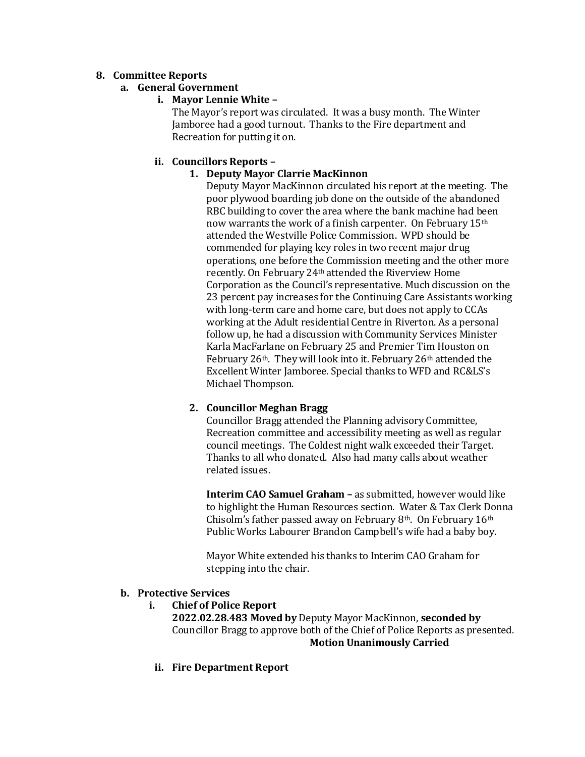# **8. Committee Reports**

# **a. General Government**

# **i. Mayor Lennie White –**

The Mayor's report was circulated. It was a busy month. The Winter Jamboree had a good turnout. Thanks to the Fire department and Recreation for putting it on.

# **ii. Councillors Reports –**

# **1. Deputy Mayor Clarrie MacKinnon**

Deputy Mayor MacKinnon circulated his report at the meeting. The poor plywood boarding job done on the outside of the abandoned RBC building to cover the area where the bank machine had been now warrants the work of a finish carpenter. On February 15<sup>th</sup> attended the Westville Police Commission. WPD should be commended for playing key roles in two recent major drug operations, one before the Commission meeting and the other more recently. On February 24th attended the Riverview Home Corporation as the Council's representative. Much discussion on the 23 percent pay increases for the Continuing Care Assistants working with long-term care and home care, but does not apply to CCAs working at the Adult residential Centre in Riverton. As a personal follow up, he had a discussion with Community Services Minister Karla MacFarlane on February 25 and Premier Tim Houston on February  $26<sup>th</sup>$ . They will look into it. February  $26<sup>th</sup>$  attended the Excellent Winter Jamboree. Special thanks to WFD and RC&LS's Michael Thompson.

# **2. Councillor Meghan Bragg**

Councillor Bragg attended the Planning advisory Committee, Recreation committee and accessibility meeting as well as regular council meetings. The Coldest night walk exceeded their Target. Thanks to all who donated. Also had many calls about weather related issues.

**Interim CAO Samuel Graham –** as submitted, however would like to highlight the Human Resources section. Water & Tax Clerk Donna Chisolm's father passed away on February 8<sup>th</sup>. On February  $16<sup>th</sup>$ Public Works Labourer Brandon Campbell's wife had a baby boy.

Mayor White extended his thanks to Interim CAO Graham for stepping into the chair.

## **b. Protective Services**

## **i. Chief of Police Report**

**2022.02.28.483 Moved by** Deputy Mayor MacKinnon, **seconded by** Councillor Bragg to approve both of the Chief of Police Reports as presented. **Motion Unanimously Carried**

**ii. Fire Department Report**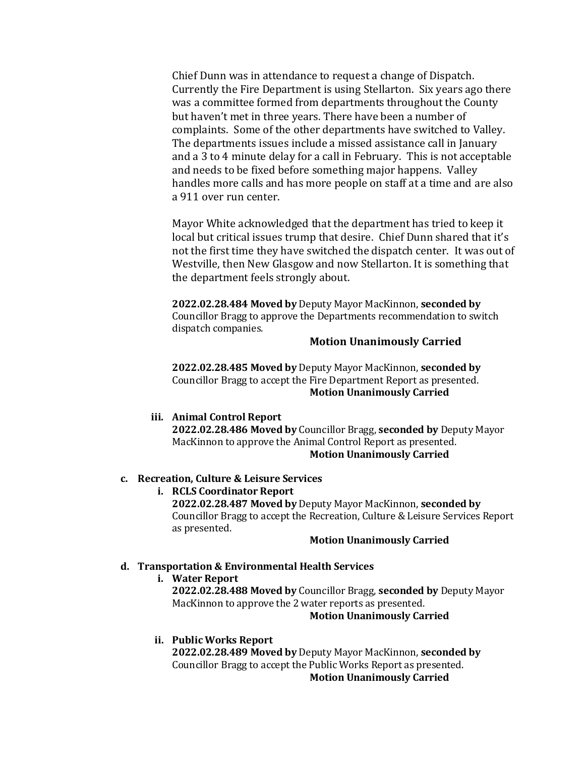Chief Dunn was in attendance to request a change of Dispatch. Currently the Fire Department is using Stellarton. Six years ago there was a committee formed from departments throughout the County but haven't met in three years. There have been a number of complaints. Some of the other departments have switched to Valley. The departments issues include a missed assistance call in January and a 3 to 4 minute delay for a call in February. This is not acceptable and needs to be fixed before something major happens. Valley handles more calls and has more people on staff at a time and are also a 911 over run center.

Mayor White acknowledged that the department has tried to keep it local but critical issues trump that desire. Chief Dunn shared that it's not the first time they have switched the dispatch center. It was out of Westville, then New Glasgow and now Stellarton. It is something that the department feels strongly about.

**2022.02.28.484 Moved by** Deputy Mayor MacKinnon, **seconded by** Councillor Bragg to approve the Departments recommendation to switch dispatch companies.

## **Motion Unanimously Carried**

**2022.02.28.485 Moved by** Deputy Mayor MacKinnon, **seconded by** Councillor Bragg to accept the Fire Department Report as presented. **Motion Unanimously Carried**

#### **iii. Animal Control Report**

**2022.02.28.486 Moved by** Councillor Bragg, **seconded by** Deputy Mayor MacKinnon to approve the Animal Control Report as presented. **Motion Unanimously Carried**

### **c. Recreation, Culture & Leisure Services**

### **i. RCLS Coordinator Report**

**2022.02.28.487 Moved by** Deputy Mayor MacKinnon, **seconded by** Councillor Bragg to accept the Recreation, Culture & Leisure Services Report as presented.

#### **Motion Unanimously Carried**

### **d. Transportation & Environmental Health Services**

**i. Water Report**

**2022.02.28.488 Moved by** Councillor Bragg, **seconded by** Deputy Mayor MacKinnon to approve the 2 water reports as presented.

#### **Motion Unanimously Carried**

#### **ii. Public Works Report**

**2022.02.28.489 Moved by** Deputy Mayor MacKinnon, **seconded by**  Councillor Bragg to accept the Public Works Report as presented. **Motion Unanimously Carried**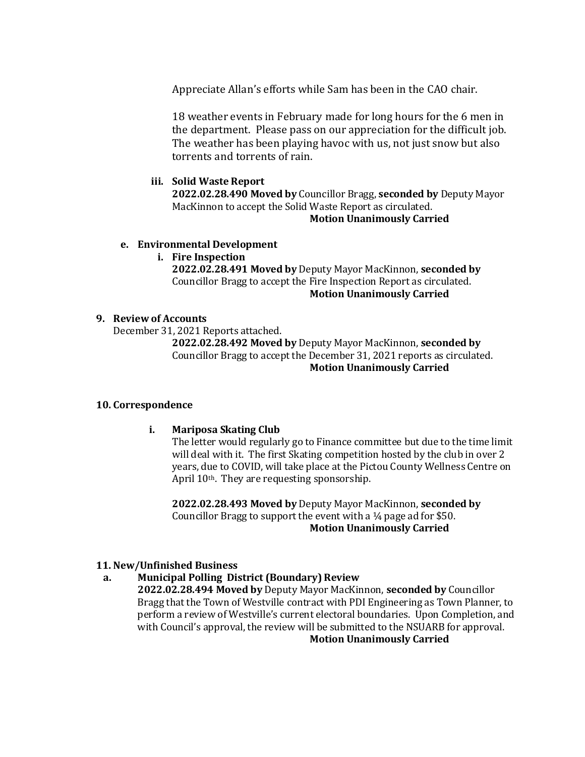Appreciate Allan's efforts while Sam has been in the CAO chair.

18 weather events in February made for long hours for the 6 men in the department. Please pass on our appreciation for the difficult job. The weather has been playing havoc with us, not just snow but also torrents and torrents of rain.

### **iii. Solid Waste Report**

**2022.02.28.490 Moved by** Councillor Bragg, **seconded by** Deputy Mayor MacKinnon to accept the Solid Waste Report as circulated.

## **Motion Unanimously Carried**

### **e. Environmental Development**

### **i. Fire Inspection**

**2022.02.28.491 Moved by** Deputy Mayor MacKinnon, **seconded by**  Councillor Bragg to accept the Fire Inspection Report as circulated. **Motion Unanimously Carried**

### **9. Review of Accounts**

December 31, 2021 Reports attached.

**2022.02.28.492 Moved by** Deputy Mayor MacKinnon, **seconded by**  Councillor Bragg to accept the December 31, 2021 reports as circulated. **Motion Unanimously Carried**

## **10. Correspondence**

## **i. Mariposa Skating Club**

The letter would regularly go to Finance committee but due to the time limit will deal with it. The first Skating competition hosted by the club in over 2 years, due to COVID, will take place at the Pictou County Wellness Centre on April 10th. They are requesting sponsorship.

**2022.02.28.493 Moved by** Deputy Mayor MacKinnon, **seconded by**  Councillor Bragg to support the event with a ¼ page ad for \$50. **Motion Unanimously Carried**

## **11. New/Unfinished Business**

## **a. Municipal Polling District (Boundary) Review**

**2022.02.28.494 Moved by** Deputy Mayor MacKinnon, **seconded by** Councillor Bragg that the Town of Westville contract with PDI Engineering as Town Planner, to perform a review of Westville's current electoral boundaries. Upon Completion, and with Council's approval, the review will be submitted to the NSUARB for approval. **Motion Unanimously Carried**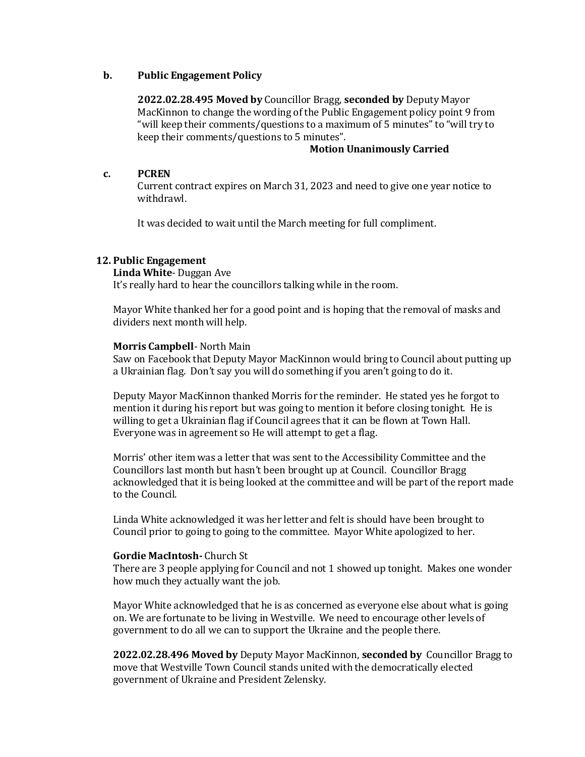### **b. Public Engagement Policy**

**2022.02.28.495 Moved by** Councillor Bragg, **seconded by** Deputy Mayor MacKinnon to change the wording of the Public Engagement policy point 9 from "will keep their comments/questions to a maximum of 5 minutes" to "will try to keep their comments/questions to 5 minutes".

### **Motion Unanimously Carried**

### **c. PCREN**

Current contract expires on March 31, 2023 and need to give one year notice to withdrawl.

It was decided to wait until the March meeting for full compliment.

### **12. Public Engagement**

### **Linda White**- Duggan Ave

It's really hard to hear the councillors talking while in the room.

Mayor White thanked her for a good point and is hoping that the removal of masks and dividers next month will help.

### **Morris Campbell**- North Main

Saw on Facebook that Deputy Mayor MacKinnon would bring to Council about putting up a Ukrainian flag. Don't say you will do something if you aren't going to do it.

Deputy Mayor MacKinnon thanked Morris for the reminder. He stated yes he forgot to mention it during his report but was going to mention it before closing tonight. He is willing to get a Ukrainian flag if Council agrees that it can be flown at Town Hall. Everyone was in agreement so He will attempt to get a flag.

Morris' other item was a letter that was sent to the Accessibility Committee and the Councillors last month but hasn't been brought up at Council. Councillor Bragg acknowledged that it is being looked at the committee and will be part of the report made to the Council.

Linda White acknowledged it was her letter and felt is should have been brought to Council prior to going to going to the committee. Mayor White apologized to her.

### **Gordie MacIntosh-** Church St

There are 3 people applying for Council and not 1 showed up tonight. Makes one wonder how much they actually want the job.

Mayor White acknowledged that he is as concerned as everyone else about what is going on. We are fortunate to be living in Westville. We need to encourage other levels of government to do all we can to support the Ukraine and the people there.

**2022.02.28.496 Moved by** Deputy Mayor MacKinnon, **seconded by** Councillor Bragg to move that Westville Town Council stands united with the democratically elected government of Ukraine and President Zelensky.